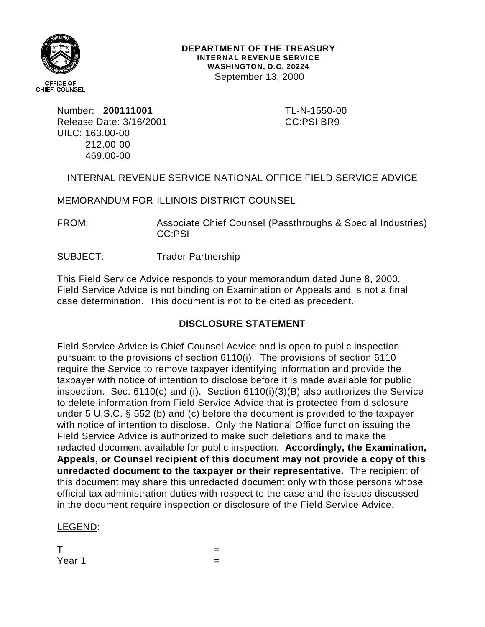

**DEPARTMENT OF THE TREASURY INTERNAL REVENUE SERVICE WASHINGTON, D.C. 20224** September 13, 2000

Number: **200111001** TL-N-1550-00 Release Date: 3/16/2001 CC:PSI:BR9 UILC: 163.00-00 212.00-00 469.00-00

INTERNAL REVENUE SERVICE NATIONAL OFFICE FIELD SERVICE ADVICE

MEMORANDUM FOR ILLINOIS DISTRICT COUNSEL

FROM: Associate Chief Counsel (Passthroughs & Special Industries) CC:PSI

SUBJECT: Trader Partnership

This Field Service Advice responds to your memorandum dated June 8, 2000. Field Service Advice is not binding on Examination or Appeals and is not a final case determination. This document is not to be cited as precedent.

# **DISCLOSURE STATEMENT**

Field Service Advice is Chief Counsel Advice and is open to public inspection pursuant to the provisions of section 6110(i). The provisions of section 6110 require the Service to remove taxpayer identifying information and provide the taxpayer with notice of intention to disclose before it is made available for public inspection. Sec. 6110(c) and (i). Section 6110(i)(3)(B) also authorizes the Service to delete information from Field Service Advice that is protected from disclosure under 5 U.S.C. § 552 (b) and (c) before the document is provided to the taxpayer with notice of intention to disclose. Only the National Office function issuing the Field Service Advice is authorized to make such deletions and to make the redacted document available for public inspection. **Accordingly, the Examination, Appeals, or Counsel recipient of this document may not provide a copy of this unredacted document to the taxpayer or their representative.** The recipient of this document may share this unredacted document only with those persons whose official tax administration duties with respect to the case and the issues discussed in the document require inspection or disclosure of the Field Service Advice.

LEGEND:

The state of the state  $\mathbf{r} = \mathbf{r}$ Year 1  $=$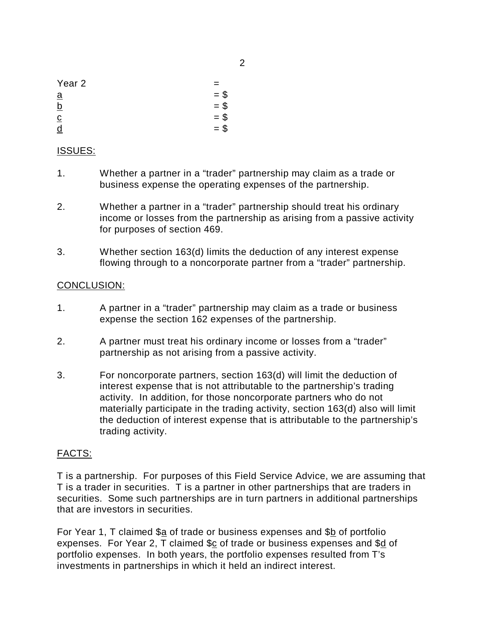| Year <sub>2</sub> |        |
|-------------------|--------|
| $\underline{a}$   | $= $$  |
| <u>b</u>          | $=$ \$ |
| $\overline{c}$    | $=$ \$ |
| d                 | $=$ \$ |

# ISSUES:

- 1. Whether a partner in a "trader" partnership may claim as a trade or business expense the operating expenses of the partnership.
- 2. Whether a partner in a "trader" partnership should treat his ordinary income or losses from the partnership as arising from a passive activity for purposes of section 469.
- 3. Whether section 163(d) limits the deduction of any interest expense flowing through to a noncorporate partner from a "trader" partnership.

# CONCLUSION:

- 1. A partner in a "trader" partnership may claim as a trade or business expense the section 162 expenses of the partnership.
- 2. A partner must treat his ordinary income or losses from a "trader" partnership as not arising from a passive activity.
- 3. For noncorporate partners, section 163(d) will limit the deduction of interest expense that is not attributable to the partnership's trading activity. In addition, for those noncorporate partners who do not materially participate in the trading activity, section 163(d) also will limit the deduction of interest expense that is attributable to the partnership's trading activity.

# FACTS:

T is a partnership. For purposes of this Field Service Advice, we are assuming that T is a trader in securities. T is a partner in other partnerships that are traders in securities. Some such partnerships are in turn partners in additional partnerships that are investors in securities.

For Year 1, T claimed \$a of trade or business expenses and \$b of portfolio expenses. For Year 2, T claimed \$c of trade or business expenses and \$d of portfolio expenses. In both years, the portfolio expenses resulted from T's investments in partnerships in which it held an indirect interest.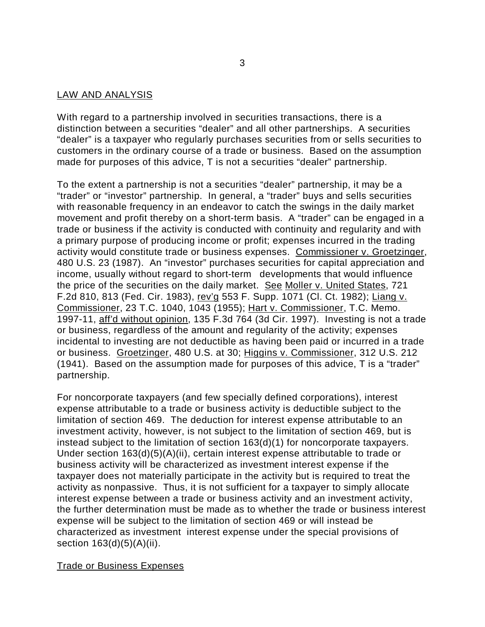#### LAW AND ANALYSIS

With regard to a partnership involved in securities transactions, there is a distinction between a securities "dealer" and all other partnerships. A securities "dealer" is a taxpayer who regularly purchases securities from or sells securities to customers in the ordinary course of a trade or business. Based on the assumption made for purposes of this advice, T is not a securities "dealer" partnership.

To the extent a partnership is not a securities "dealer" partnership, it may be a "trader" or "investor" partnership. In general, a "trader" buys and sells securities with reasonable frequency in an endeavor to catch the swings in the daily market movement and profit thereby on a short-term basis. A "trader" can be engaged in a trade or business if the activity is conducted with continuity and regularity and with a primary purpose of producing income or profit; expenses incurred in the trading activity would constitute trade or business expenses. Commissioner v. Groetzinger, 480 U.S. 23 (1987). An "investor" purchases securities for capital appreciation and income, usually without regard to short-term developments that would influence the price of the securities on the daily market. See Moller v. United States, 721 F.2d 810, 813 (Fed. Cir. 1983), rev'g 553 F. Supp. 1071 (Cl. Ct. 1982); Liang v. Commissioner, 23 T.C. 1040, 1043 (1955); Hart v. Commissioner, T.C. Memo. 1997-11, aff'd without opinion, 135 F.3d 764 (3d Cir. 1997). Investing is not a trade or business, regardless of the amount and regularity of the activity; expenses incidental to investing are not deductible as having been paid or incurred in a trade or business. Groetzinger, 480 U.S. at 30; Higgins v. Commissioner, 312 U.S. 212 (1941). Based on the assumption made for purposes of this advice, T is a "trader" partnership.

For noncorporate taxpayers (and few specially defined corporations), interest expense attributable to a trade or business activity is deductible subject to the limitation of section 469. The deduction for interest expense attributable to an investment activity, however, is not subject to the limitation of section 469, but is instead subject to the limitation of section 163(d)(1) for noncorporate taxpayers. Under section 163(d)(5)(A)(ii), certain interest expense attributable to trade or business activity will be characterized as investment interest expense if the taxpayer does not materially participate in the activity but is required to treat the activity as nonpassive. Thus, it is not sufficient for a taxpayer to simply allocate interest expense between a trade or business activity and an investment activity, the further determination must be made as to whether the trade or business interest expense will be subject to the limitation of section 469 or will instead be characterized as investment interest expense under the special provisions of section  $163(d)(5)(A)(ii)$ .

# Trade or Business Expenses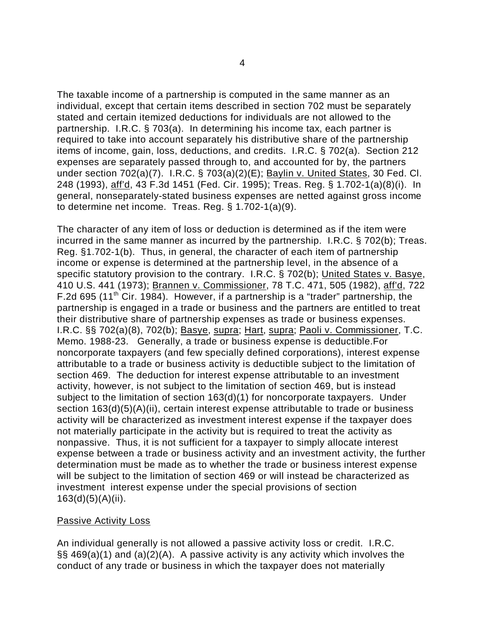The taxable income of a partnership is computed in the same manner as an individual, except that certain items described in section 702 must be separately stated and certain itemized deductions for individuals are not allowed to the partnership. I.R.C. § 703(a). In determining his income tax, each partner is required to take into account separately his distributive share of the partnership items of income, gain, loss, deductions, and credits. I.R.C. § 702(a). Section 212 expenses are separately passed through to, and accounted for by, the partners under section 702(a)(7). I.R.C. § 703(a)(2)(E); Baylin v. United States, 30 Fed. Cl. 248 (1993), aff'd, 43 F.3d 1451 (Fed. Cir. 1995); Treas. Reg. § 1.702-1(a)(8)(i). In general, nonseparately-stated business expenses are netted against gross income to determine net income. Treas. Reg. § 1.702-1(a)(9).

The character of any item of loss or deduction is determined as if the item were incurred in the same manner as incurred by the partnership. I.R.C. § 702(b); Treas. Reg. §1.702-1(b). Thus, in general, the character of each item of partnership income or expense is determined at the partnership level, in the absence of a specific statutory provision to the contrary. I.R.C. § 702(b); United States v. Basye, 410 U.S. 441 (1973); Brannen v. Commissioner, 78 T.C. 471, 505 (1982), aff'd, 722 F.2d 695 (11th Cir. 1984). However, if a partnership is a "trader" partnership, the partnership is engaged in a trade or business and the partners are entitled to treat their distributive share of partnership expenses as trade or business expenses. I.R.C. §§ 702(a)(8), 702(b); Basye, supra; Hart, supra; Paoli v. Commissioner, T.C. Memo. 1988-23. Generally, a trade or business expense is deductible.For noncorporate taxpayers (and few specially defined corporations), interest expense attributable to a trade or business activity is deductible subject to the limitation of section 469. The deduction for interest expense attributable to an investment activity, however, is not subject to the limitation of section 469, but is instead subject to the limitation of section 163(d)(1) for noncorporate taxpayers. Under section 163(d)(5)(A)(ii), certain interest expense attributable to trade or business activity will be characterized as investment interest expense if the taxpayer does not materially participate in the activity but is required to treat the activity as nonpassive. Thus, it is not sufficient for a taxpayer to simply allocate interest expense between a trade or business activity and an investment activity, the further determination must be made as to whether the trade or business interest expense will be subject to the limitation of section 469 or will instead be characterized as investment interest expense under the special provisions of section 163(d)(5)(A)(ii).

#### **Passive Activity Loss**

An individual generally is not allowed a passive activity loss or credit. I.R.C. §§ 469(a)(1) and (a)(2)(A). A passive activity is any activity which involves the conduct of any trade or business in which the taxpayer does not materially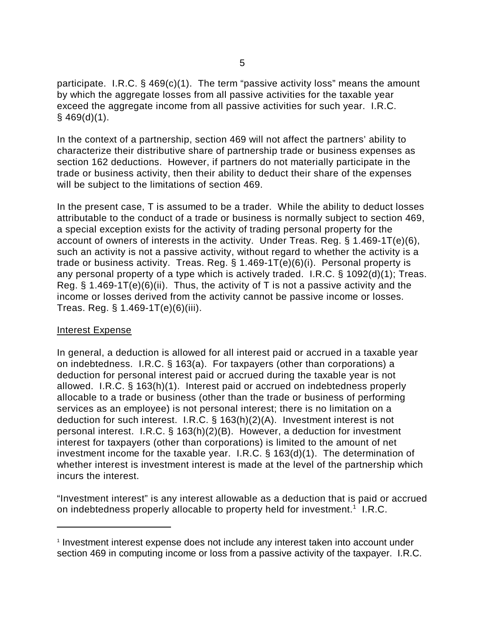participate. I.R.C. § 469(c)(1). The term "passive activity loss" means the amount by which the aggregate losses from all passive activities for the taxable year exceed the aggregate income from all passive activities for such year. I.R.C.  $§$  469(d)(1).

In the context of a partnership, section 469 will not affect the partners' ability to characterize their distributive share of partnership trade or business expenses as section 162 deductions. However, if partners do not materially participate in the trade or business activity, then their ability to deduct their share of the expenses will be subject to the limitations of section 469.

In the present case, T is assumed to be a trader. While the ability to deduct losses attributable to the conduct of a trade or business is normally subject to section 469, a special exception exists for the activity of trading personal property for the account of owners of interests in the activity. Under Treas. Reg. § 1.469-1T(e)(6), such an activity is not a passive activity, without regard to whether the activity is a trade or business activity. Treas. Reg. § 1.469-1T(e)(6)(i). Personal property is any personal property of a type which is actively traded. I.R.C. § 1092(d)(1); Treas. Reg.  $\S$  1.469-1T(e)(6)(ii). Thus, the activity of T is not a passive activity and the income or losses derived from the activity cannot be passive income or losses. Treas. Reg. § 1.469-1T(e)(6)(iii).

#### Interest Expense

In general, a deduction is allowed for all interest paid or accrued in a taxable year on indebtedness. I.R.C. § 163(a). For taxpayers (other than corporations) a deduction for personal interest paid or accrued during the taxable year is not allowed. I.R.C. § 163(h)(1). Interest paid or accrued on indebtedness properly allocable to a trade or business (other than the trade or business of performing services as an employee) is not personal interest; there is no limitation on a deduction for such interest. I.R.C. § 163(h)(2)(A). Investment interest is not personal interest. I.R.C. § 163(h)(2)(B). However, a deduction for investment interest for taxpayers (other than corporations) is limited to the amount of net investment income for the taxable year. I.R.C. § 163(d)(1). The determination of whether interest is investment interest is made at the level of the partnership which incurs the interest.

"Investment interest" is any interest allowable as a deduction that is paid or accrued on indebtedness properly allocable to property held for investment.<sup>1</sup> I.R.C.

<sup>&</sup>lt;sup>1</sup> Investment interest expense does not include any interest taken into account under section 469 in computing income or loss from a passive activity of the taxpayer. I.R.C.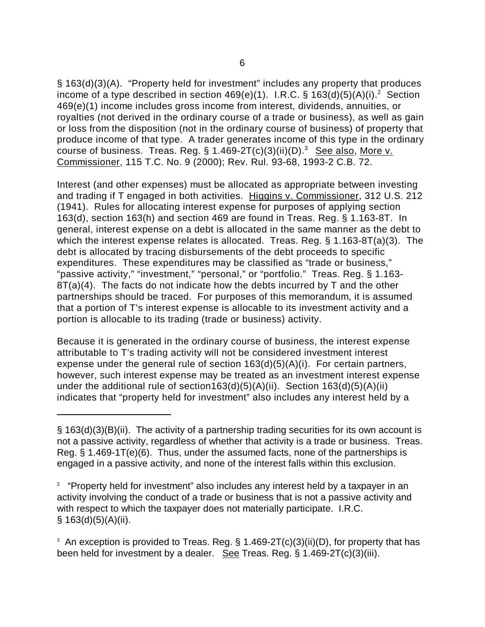§ 163(d)(3)(A). "Property held for investment" includes any property that produces income of a type described in section 469(e)(1). I.R.C. § 163(d)(5)(A)(i).<sup>2</sup> Section 469(e)(1) income includes gross income from interest, dividends, annuities, or royalties (not derived in the ordinary course of a trade or business), as well as gain or loss from the disposition (not in the ordinary course of business) of property that produce income of that type. A trader generates income of this type in the ordinary course of business. Treas. Reg. §  $1.469-2T(c)(3)(ii)(D).$ <sup>3</sup> See also, More v. Commissioner, 115 T.C. No. 9 (2000); Rev. Rul. 93-68, 1993-2 C.B. 72.

Interest (and other expenses) must be allocated as appropriate between investing and trading if T engaged in both activities. Higgins v. Commissioner, 312 U.S. 212 (1941). Rules for allocating interest expense for purposes of applying section 163(d), section 163(h) and section 469 are found in Treas. Reg. § 1.163-8T. In general, interest expense on a debt is allocated in the same manner as the debt to which the interest expense relates is allocated. Treas. Reg. § 1.163-8T(a)(3). The debt is allocated by tracing disbursements of the debt proceeds to specific expenditures. These expenditures may be classified as "trade or business," "passive activity," "investment," "personal," or "portfolio." Treas. Reg. § 1.163-  $8T(a)(4)$ . The facts do not indicate how the debts incurred by T and the other partnerships should be traced. For purposes of this memorandum, it is assumed that a portion of T's interest expense is allocable to its investment activity and a portion is allocable to its trading (trade or business) activity.

Because it is generated in the ordinary course of business, the interest expense attributable to T's trading activity will not be considered investment interest expense under the general rule of section 163(d)(5)(A)(i). For certain partners, however, such interest expense may be treated as an investment interest expense under the additional rule of section163(d)(5)(A)(ii). Section 163(d)(5)(A)(ii) indicates that "property held for investment" also includes any interest held by a

<sup>§ 163(</sup>d)(3)(B)(ii). The activity of a partnership trading securities for its own account is not a passive activity, regardless of whether that activity is a trade or business. Treas. Reg. § 1.469-1T(e)(6). Thus, under the assumed facts, none of the partnerships is engaged in a passive activity, and none of the interest falls within this exclusion.

 $2$  "Property held for investment" also includes any interest held by a taxpayer in an activity involving the conduct of a trade or business that is not a passive activity and with respect to which the taxpayer does not materially participate. I.R.C.  $§ 163(d)(5)(A)(ii).$ 

 $^{\rm 3}$  An exception is provided to Treas. Reg. § 1.469-2T(c)(3)(ii)(D), for property that has been held for investment by a dealer. See Treas. Reg. § 1.469-2T(c)(3)(iii).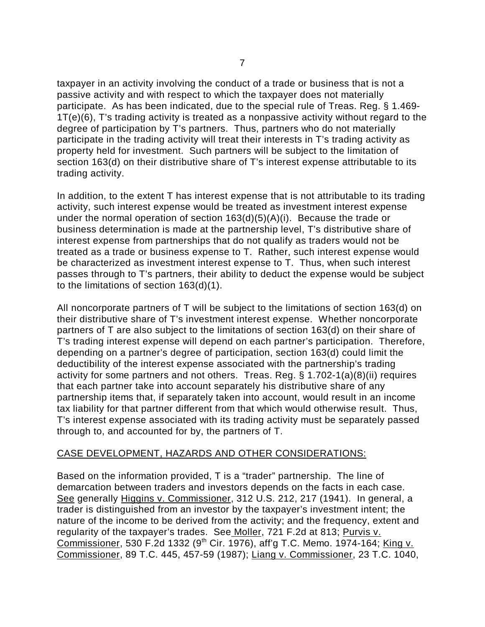taxpayer in an activity involving the conduct of a trade or business that is not a passive activity and with respect to which the taxpayer does not materially participate. As has been indicated, due to the special rule of Treas. Reg. § 1.469- 1T(e)(6), T's trading activity is treated as a nonpassive activity without regard to the degree of participation by T's partners. Thus, partners who do not materially participate in the trading activity will treat their interests in T's trading activity as property held for investment. Such partners will be subject to the limitation of section 163(d) on their distributive share of T's interest expense attributable to its trading activity.

In addition, to the extent T has interest expense that is not attributable to its trading activity, such interest expense would be treated as investment interest expense under the normal operation of section 163(d)(5)(A)(i). Because the trade or business determination is made at the partnership level, T's distributive share of interest expense from partnerships that do not qualify as traders would not be treated as a trade or business expense to T. Rather, such interest expense would be characterized as investment interest expense to T. Thus, when such interest passes through to T's partners, their ability to deduct the expense would be subject to the limitations of section 163(d)(1).

All noncorporate partners of T will be subject to the limitations of section 163(d) on their distributive share of T's investment interest expense. Whether noncorporate partners of T are also subject to the limitations of section 163(d) on their share of T's trading interest expense will depend on each partner's participation. Therefore, depending on a partner's degree of participation, section 163(d) could limit the deductibility of the interest expense associated with the partnership's trading activity for some partners and not others. Treas. Reg. § 1.702-1(a)(8)(ii) requires that each partner take into account separately his distributive share of any partnership items that, if separately taken into account, would result in an income tax liability for that partner different from that which would otherwise result. Thus, T's interest expense associated with its trading activity must be separately passed through to, and accounted for by, the partners of T.

# CASE DEVELOPMENT, HAZARDS AND OTHER CONSIDERATIONS:

Based on the information provided, T is a "trader" partnership. The line of demarcation between traders and investors depends on the facts in each case. See generally Higgins v. Commissioner, 312 U.S. 212, 217 (1941). In general, a trader is distinguished from an investor by the taxpayer's investment intent; the nature of the income to be derived from the activity; and the frequency, extent and regularity of the taxpayer's trades. See Moller, 721 F.2d at 813; Purvis v. Commissioner, 530 F.2d 1332 (9<sup>th</sup> Cir. 1976), aff'g T.C. Memo. 1974-164; King v. Commissioner, 89 T.C. 445, 457-59 (1987); Liang v. Commissioner, 23 T.C. 1040,